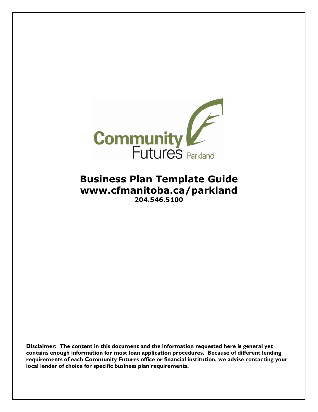

## **Business Plan Template Guide www.cfmanitoba.ca/parkland 204.546.5100**

**Disclaimer: The content in this document and the information requested here is general yet contains enough information for most loan application procedures. Because of different lending requirements of each Community Futures office or financial institution, we advise contacting your local lender of choice for specific business plan requirements.**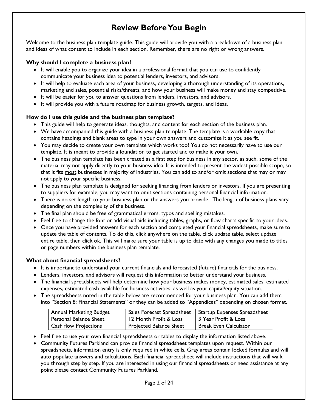## **Review Before You Begin**

<span id="page-1-0"></span>Welcome to the business plan template guide. This guide will provide you with a breakdown of a business plan and ideas of what content to include in each section. Remember, there are no right or wrong answers.

#### **Why should I complete a business plan?**

- It will enable you to organize your idea in a professional format that you can use to confidently communicate your business idea to potential lenders, investors, and advisors.
- It will help to evaluate each area of your business, developing a thorough understanding of its operations, marketing and sales, potential risks/threats, and how your business will make money and stay competitive.
- It will be easier for you to answer questions from lenders, investors, and advisors.
- It will provide you with a future roadmap for business growth, targets, and ideas.

#### **How do I use this guide and the business plan template?**

- This guide will help to generate ideas, thoughts, and content for each section of the business plan.
- We have accompanied this guide with a business plan template. The template is a workable copy that contains headings and blank areas to type in your own answers and customize it as you see fit.
- You may decide to create your own template which works too! You do not necessarily have to use our template. It is meant to provide a foundation to get started and to make it your own.
- The business plan template has been created as a first step for business in any sector, as such, some of the material may not apply directly to your business idea. It is intended to present the widest possible scope, so that it fits most businesses in majority of industries. You can add to and/or omit sections that may or may not apply to your specific business.
- The business plan template is designed for seeking financing from lenders or investors. If you are presenting to suppliers for example, you may want to omit sections containing personal financial information.
- There is no set length to your business plan or the answers you provide. The length of business plans vary depending on the complexity of the business.
- The final plan should be free of grammatical errors, typos and spelling mistakes.
- Feel free to change the font or add visual aids including tables, graphs, or flow charts specific to your ideas.
- Once you have provided answers for each section and completed your financial spreadsheets, make sure to update the table of contents. To do this, click anywhere on the table, click update table, select update entire table, then click ok. This will make sure your table is up to date with any changes you made to titles or page numbers within the business plan template.

#### **What about financial spreadsheets?**

- It is important to understand your current financials and forecasted (future) financials for the business.
- Lenders, investors, and advisors will request this information to better understand your business.
- The financial spreadsheets will help determine how your business makes money, estimated sales, estimated expenses, estimated cash available for business activities, as well as your capital/equity situation.
- The spreadsheets noted in the table below are recommended for your business plan. You can add them into "Section 8: Financial Statements" or they can be added to "Appendices" depending on chosen format.

| <b>Annual Marketing Budget</b> |                         | Sales Forecast Spreadsheet   Startup Expenses Spreadsheet |
|--------------------------------|-------------------------|-----------------------------------------------------------|
| Personal Balance Sheet         | 12 Month Profit & Loss  | 3 Year Profit & Loss                                      |
| <b>Cash flow Projections</b>   | Projected Balance Sheet | <b>Break Even Calculator</b>                              |

- Feel free to use your own financial spreadsheets or tables to display the information listed above.
- Community Futures Parkland can provide financial spreadsheet templates upon request. Within our spreadsheets, information entry is only required in white cells. Gray areas contain locked formulas and will auto populate answers and calculations. Each financial spreadsheet will include instructions that will walk you through step by step. If you are interested in using our financial spreadsheets or need assistance at any point please contact Community Futures Parkland.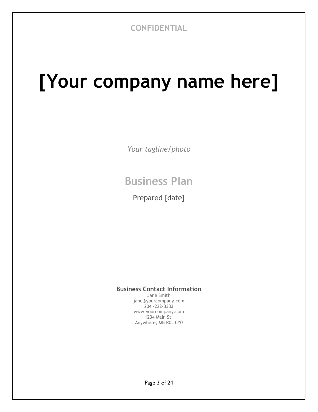# **[Your company name here]**

*Your tagline/photo*

## **Business Plan**

Prepared [date]

### **Business Contact Information**

Jane Smith jane@yourcompany.com 204 -222-3333 www.yourcompany.com 1234 Main St. Anywhere, MB R0L 0Y0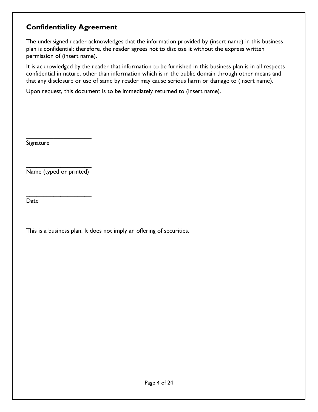## <span id="page-3-0"></span>**Confidentiality Agreement**

The undersigned reader acknowledges that the information provided by (insert name) in this business plan is confidential; therefore, the reader agrees not to disclose it without the express written permission of (insert name).

It is acknowledged by the reader that information to be furnished in this business plan is in all respects confidential in nature, other than information which is in the public domain through other means and that any disclosure or use of same by reader may cause serious harm or damage to (insert name).

Upon request, this document is to be immediately returned to (insert name).

Signature

\_\_\_\_\_\_\_\_\_\_\_\_\_\_\_\_\_\_\_ Name (typed or printed)

\_\_\_\_\_\_\_\_\_\_\_\_\_\_\_\_\_\_\_

\_\_\_\_\_\_\_\_\_\_\_\_\_\_\_\_\_\_\_

Date

This is a business plan. It does not imply an offering of securities.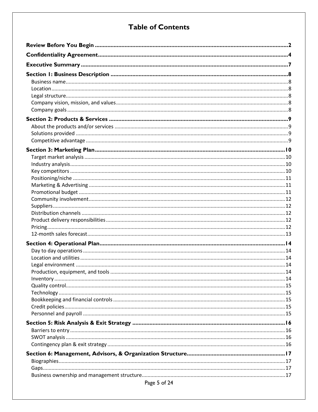## **Table of Contents**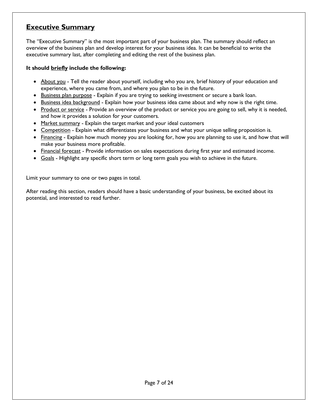## <span id="page-6-0"></span>**Executive Summary**

The "Executive Summary" is the most important part of your business plan. The summary should reflect an overview of the business plan and develop interest for your business idea. It can be beneficial to write the executive summary last, after completing and editing the rest of the business plan.

#### **It should briefly include the following:**

- About you Tell the reader about yourself, including who you are, brief history of your education and experience, where you came from, and where you plan to be in the future.
- **Business plan purpose** Explain if you are trying to seeking investment or secure a bank loan.
- **Business idea background Explain how your business idea came about and why now is the right time.**
- Product or service Provide an overview of the product or service you are going to sell, why it is needed, and how it provides a solution for your customers.
- Market summary Explain the target market and your ideal customers
- Competition Explain what differentiates your business and what your unique selling proposition is.
- Financing Explain how much money you are looking for, how you are planning to use it, and how that will make your business more profitable.
- Financial forecast Provide information on sales expectations during first year and estimated income.
- Goals Highlight any specific short term or long term goals you wish to achieve in the future.

Limit your summary to one or two pages in total.

After reading this section, readers should have a basic understanding of your business, be excited about its potential, and interested to read further.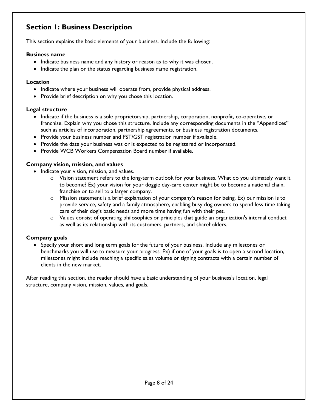## <span id="page-7-0"></span>**Section 1: Business Description**

This section explains the basic elements of your business. Include the following:

#### <span id="page-7-1"></span>**Business name**

- Indicate business name and any history or reason as to why it was chosen.
- Indicate the plan or the status regarding business name registration.

#### <span id="page-7-2"></span>**Location**

- Indicate where your business will operate from, provide physical address.
- Provide brief description on why you chose this location.

#### <span id="page-7-3"></span>**Legal structure**

- Indicate if the business is a sole proprietorship, partnership, corporation, nonprofit, co-operative, or franchise. Explain why you chose this structure. Include any corresponding documents in the "Appendices" such as articles of incorporation, partnership agreements, or business registration documents.
- Provide your business number and PST/GST registration number if available.
- Provide the date your business was or is expected to be registered or incorporated.
- Provide WCB Workers Compensation Board number if available.

#### <span id="page-7-4"></span>**Company vision, mission, and values**

- Indicate your vision, mission, and values.
	- $\circ$  Vision statement refers to the long-term outlook for your business. What do you ultimately want it to become? Ex) your vision for your doggie day-care center might be to become a national chain, franchise or to sell to a larger company.
	- o Mission statement is a brief explanation of your company's reason for being. Ex) our mission is to provide service, safety and a family atmosphere, enabling busy dog owners to spend less time taking care of their dog's basic needs and more time having fun with their pet.
	- $\circ$  Values consist of operating philosophies or principles that guide an organization's internal conduct as well as its relationship with its customers, partners, and shareholders.

#### <span id="page-7-5"></span>**Company goals**

• Specify your short and long term goals for the future of your business. Include any milestones or benchmarks you will use to measure your progress. Ex) if one of your goals is to open a second location, milestones might include reaching a specific sales volume or signing contracts with a certain number of clients in the new market.

After reading this section, the reader should have a basic understanding of your business's location, legal structure, company vision, mission, values, and goals.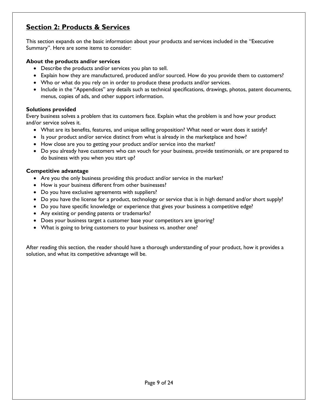## <span id="page-8-0"></span>**Section 2: Products & Services**

This section expands on the basic information about your products and services included in the "Executive Summary". Here are some items to consider:

#### <span id="page-8-1"></span>**About the products and/or services**

- Describe the products and/or services you plan to sell.
- Explain how they are manufactured, produced and/or sourced. How do you provide them to customers?
- Who or what do you rely on in order to produce these products and/or services.
- Include in the "Appendices" any details such as technical specifications, drawings, photos, patent documents, menus, copies of ads, and other support information.

#### <span id="page-8-2"></span>**Solutions provided**

Every business solves a problem that its customers face. Explain what the problem is and how your product and/or service solves it.

- What are its benefits, features, and unique selling proposition? What need or want does it satisfy?
- Is your product and/or service distinct from what is already in the marketplace and how?
- How close are you to getting your product and/or service into the market?
- Do you already have customers who can vouch for your business, provide testimonials, or are prepared to do business with you when you start up?

#### <span id="page-8-3"></span>**Competitive advantage**

- Are you the only business providing this product and/or service in the market?
- How is your business different from other businesses?
- Do you have exclusive agreements with suppliers?
- Do you have the license for a product, technology or service that is in high demand and/or short supply?
- Do you have specific knowledge or experience that gives your business a competitive edge?
- Any existing or pending patents or trademarks?
- Does your business target a customer base your competitors are ignoring?
- What is going to bring customers to your business vs. another one?

After reading this section, the reader should have a thorough understanding of your product, how it provides a solution, and what its competitive advantage will be.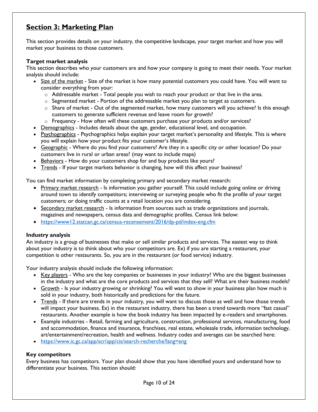## <span id="page-9-0"></span>**Section 3: Marketing Plan**

This section provides details on your industry, the competitive landscape, your target market and how you will market your business to those customers.

#### <span id="page-9-1"></span>**Target market analysis**

This section describes who your customers are and how your company is going to meet their needs. Your market analysis should include:

- Size of the market Size of the market is how many potential customers you could have. You will want to consider everything from your:
	- o Addressable market Total people you wish to reach your product or that live in the area.
	- $\circ$  Segmented market Portion of the addressable market you plan to target as customers.
	- $\circ$  Share of market Out of the segmented market, how many customers will you achieve? Is this enough customers to generate sufficient revenue and leave room for growth?
	- o Frequency How often will these customers purchase your products and/or services?
- **Demographics** Includes details about the age, gender, educational level, and occupation.
- Psychographics Psychographics helps explain your target market's personality and lifestyle. This is where you will explain how your product fits your customer's lifestyle.
- Geographic Where do you find your customers? Are they in a specific city or other location? Do your customers live in rural or urban areas? (may want to include maps)
- Behaviors How do your customers shop for and buy products like yours?
- Trends If your target markets behavior is changing, how will this affect your business?

You can find market information by completing primary and secondary market research:

- Primary market research Is information you gather yourself. This could include going online or driving around town to identify competitors; interviewing or surveying people who fit the profile of your target customers; or doing traffic counts at a retail location you are considering.
- Secondar*y* market research Is information from sources such as trade organizations and journals, magazines and newspapers, census data and demographic profiles. Census link below:
- <https://www12.statcan.gc.ca/census-recensement/2016/dp-pd/index-eng.cfm>

#### <span id="page-9-2"></span>**Industry analysis**

An industry is a group of businesses that make or sell similar products and services. The easiest way to think about your industry is to think about who your competitors are. Ex) if you are starting a restaurant, your competition is other restaurants. So, you are in the restaurant (or food service) industry.

Your industry analysis should include the following information:

- Key players Who are the key companies or businesses in your industry? Who are the biggest businesses in the industry and what are the core products and services that they sell? What are their business models?
- Growth Is your industry growing or shrinking? You will want to show in your business plan how much is sold in your industry, both historically and predictions for the future.
- Trends If there are trends in your industry, you will want to discuss those as well and how those trends will impact your business. Ex) in the restaurant industry, there has been a trend towards more "fast casual" restaurants. Another example is how the book industry has been impacted by e-readers and smartphones.
- Example industries Retail, farming and agriculture, construction, professional services, manufacturing, food and accommodation, finance and insurance, franchises, real estate, wholesale trade, information technology, art/entertainment/recreation, health and wellness. Industry codes and averages can be searched here:
- <https://www.ic.gc.ca/app/scr/app/cis/search-recherche?lang=eng>

#### <span id="page-9-3"></span>**Key competitors**

Every business has competitors. Your plan should show that you have identified yours and understand how to differentiate your business. This section should: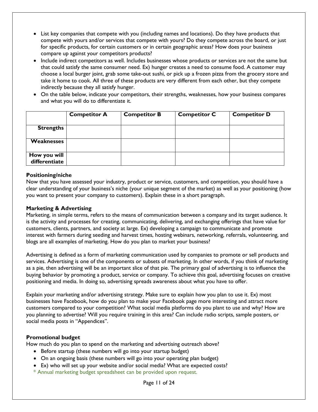- List key companies that compete with you (including names and locations). Do they have products that compete with yours and/or services that compete with yours? Do they compete across the board, or just for specific products, for certain customers or in certain geographic areas? How does your business compare up against your competitors products?
- Include indirect competitors as well. Includes businesses whose products or services are not the same but that could satisfy the same consumer need. Ex) hunger creates a need to consume food. A customer may choose a local burger joint, grab some take-out sushi, or pick up a frozen pizza from the grocery store and take it home to cook. All three of these products are very different from each other, but they compete indirectly because they all satisfy hunger.
- On the table below, indicate your competitors, their strengths, weaknesses, how your business compares and what you will do to differentiate it.

|                               | <b>Competitor A</b> | <b>Competitor B</b> | <b>Competitor C</b> | <b>Competitor D</b> |
|-------------------------------|---------------------|---------------------|---------------------|---------------------|
| <b>Strengths</b>              |                     |                     |                     |                     |
| Weaknesses                    |                     |                     |                     |                     |
| How you will<br>differentiate |                     |                     |                     |                     |

#### <span id="page-10-0"></span>**Positioning/niche**

Now that you have assessed your industry, product or service, customers, and competition, you should have a clear understanding of your business's niche (your unique segment of the market) as well as your positioning (how you want to present your company to customers). Explain these in a short paragraph.

#### <span id="page-10-1"></span>**Marketing & Advertising**

Marketing, in simple terms, refers to the means of communication between a company and its target audience. It is the activity and processes for creating, communicating, delivering, and exchanging offerings that have value for customers, clients, partners, and society at large. Ex) developing a campaign to communicate and promote interest with farmers during seeding and harvest times, hosting webinars, networking, referrals, volunteering, and blogs are all examples of marketing. How do you plan to market your business?

Advertising is defined as a form of marketing communication used by companies to promote or sell products and services. Advertising is one of the components or subsets of marketing. In other words, if you think of marketing as a pie, then advertising will be an important slice of that pie. The primary goal of advertising is to influence the buying behavior by promoting a product, service or company. To achieve this goal, advertising focuses on creative positioning and media. In doing so, advertising spreads awareness about what you have to offer.

Explain your marketing and/or advertising strategy. Make sure to explain how you plan to use it. Ex) most businesses have Facebook, how do you plan to make your Facebook page more interesting and attract more customers compared to your competition? What social media platforms do you plant to use and why? How are you planning to advertise? Will you require training in this area? Can include radio scripts, sample posters, or social media posts in "Appendices".

#### <span id="page-10-2"></span>**Promotional budget**

How much do you plan to spend on the marketing and advertising outreach above?

- Before startup (these numbers will go into your startup budget)
- On an ongoing basis (these numbers will go into your operating plan budget)
- Ex) who will set up your website and/or social media? What are expected costs?
- \* Annual marketing budget spreadsheet can be provided upon request.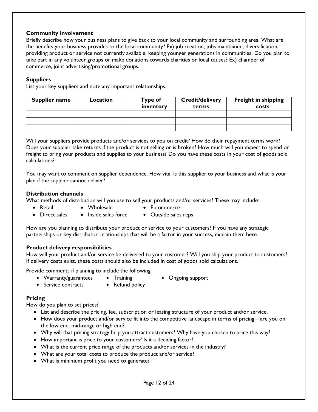#### <span id="page-11-0"></span>**Community involvement**

Briefly describe how your business plans to give back to your local community and surrounding area. What are the benefits your business provides to the local community? Ex) job creation, jobs maintained, diversification, providing product or service not currently available, keeping younger generations in communities. Do you plan to take part in any volunteer groups or make donations towards charities or local causes? Ex) chamber of commerce, joint advertising/promotional groups.

#### <span id="page-11-1"></span>**Suppliers**

List your key suppliers and note any important relationships.

| <b>Supplier name</b> | Location | Type of<br>inventory | <b>Credit/delivery</b><br>terms | <b>Freight in shipping</b><br><b>costs</b> |
|----------------------|----------|----------------------|---------------------------------|--------------------------------------------|
|                      |          |                      |                                 |                                            |
|                      |          |                      |                                 |                                            |
|                      |          |                      |                                 |                                            |

Will your suppliers provide products and/or services to you on credit? How do their repayment terms work? Does your supplier take returns if the product is not selling or is broken? How much will you expect to spend on freight to bring your products and supplies to your business? Do you have these costs in your cost of goods sold calculations?

You may want to comment on supplier dependence. How vital is this supplier to your business and what is your plan if the supplier cannot deliver?

#### <span id="page-11-2"></span>**Distribution channels**

What methods of distribution will you use to sell your products and/or services? These may include:

- Retail Wholesale E-commerce
	-
- Direct sales Inside sales force Outside sales reps

How are you planning to distribute your product or service to your customers? If you have any strategic partnerships or key distributor relationships that will be a factor in your success, explain them here.

#### <span id="page-11-3"></span>**Product delivery responsibilities**

How will your product and/or service be delivered to your customer? Will you ship your product to customers? If delivery costs exist, these costs should also be included in cost of goods sold calculations.

Provide comments if planning to include the following:

- Warranty/guarantees Training Ongoing support
	-
- Service contracts Refund policy
- 

#### <span id="page-11-4"></span>**Pricing**

How do you plan to set prices?

- List and describe the pricing, fee, subscription or leasing structure of your product and/or service.
- How does your product and/or service fit into the competitive landscape in terms of pricing—are you on the low end, mid-range or high end?
- Why will that pricing strategy help you attract customers? Why have you chosen to price this way?
- How important is price to your customers? Is it a deciding factor?
- What is the current price range of the products and/or services in the industry?
- What are your total costs to produce the product and/or service?
- What is minimum profit you need to generate?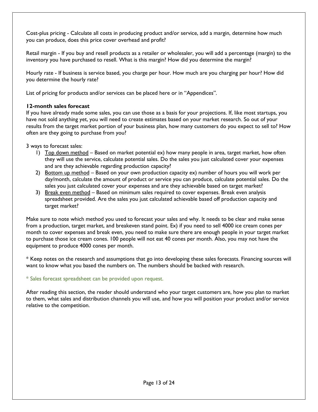Cost-plus pricing - Calculate all costs in producing product and/or service, add a margin, determine how much you can produce, does this price cover overhead and profit?

Retail margin - If you buy and resell products as a retailer or wholesaler, you will add a percentage (margin) to the inventory you have purchased to resell. What is this margin? How did you determine the margin?

Hourly rate - If business is service based, you charge per hour. How much are you charging per hour? How did you determine the hourly rate?

List of pricing for products and/or services can be placed here or in "Appendices".

#### <span id="page-12-0"></span>**12-month sales forecast**

If you have already made some sales, you can use those as a basis for your projections. If, like most startups, you have not sold anything yet, you will need to create estimates based on your market research. So out of your results from the target market portion of your business plan, how many customers do you expect to sell to? How often are they going to purchase from you?

3 ways to forecast sales:

- 1) Top down method Based on market potential ex) how many people in area, target market, how often they will use the service, calculate potential sales. Do the sales you just calculated cover your expenses and are they achievable regarding production capacity?
- 2) Bottom up method Based on your own production capacity ex) number of hours you will work per day/month, calculate the amount of product or service you can produce, calculate potential sales. Do the sales you just calculated cover your expenses and are they achievable based on target market?
- 3) Break even method Based on minimum sales required to cover expenses. Break even analysis spreadsheet provided. Are the sales you just calculated achievable based off production capacity and target market?

Make sure to note which method you used to forecast your sales and why. It needs to be clear and make sense from a production, target market, and breakeven stand point. Ex) if you need to sell 4000 ice cream cones per month to cover expenses and break even, you need to make sure there are enough people in your target market to purchase those ice cream cones. 100 people will not eat 40 cones per month. Also, you may not have the equipment to produce 4000 cones per month.

\* Keep notes on the research and assumptions that go into developing these sales forecasts. Financing sources will want to know what you based the numbers on. The numbers should be backed with research.

#### \* Sales forecast spreadsheet can be provided upon request.

After reading this section, the reader should understand who your target customers are, how you plan to market to them, what sales and distribution channels you will use, and how you will position your product and/or service relative to the competition.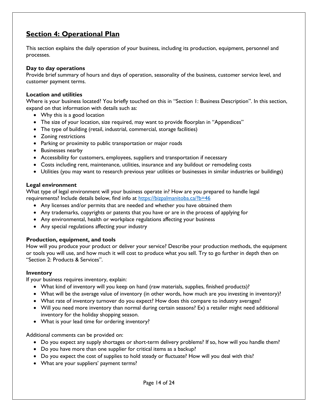## <span id="page-13-0"></span>**Section 4: Operational Plan**

This section explains the daily operation of your business, including its production, equipment, personnel and processes.

#### <span id="page-13-1"></span>**Day to day operations**

Provide brief summary of hours and days of operation, seasonality of the business, customer service level, and customer payment terms.

#### <span id="page-13-2"></span>**Location and utilities**

Where is your business located? You briefly touched on this in "Section 1: Business Description". In this section, expand on that information with details such as:

- Why this is a good location
- The size of your location, size required, may want to provide floorplan in "Appendices"
- The type of building (retail, industrial, commercial, storage facilities)
- Zoning restrictions
- Parking or proximity to public transportation or major roads
- Businesses nearby
- Accessibility for customers, employees, suppliers and transportation if necessary
- Costs including rent, maintenance, utilities, insurance and any buildout or remodeling costs
- Utilities (you may want to research previous year utilities or businesses in similar industries or buildings)

#### <span id="page-13-3"></span>**Legal environment**

What type of legal environment will your business operate in? How are you prepared to handle legal requirements? Include details below, find info at<https://bizpalmanitoba.ca/?b=46>

- Any licenses and/or permits that are needed and whether you have obtained them
- Any trademarks, copyrights or patents that you have or are in the process of applying for
- Any environmental, health or workplace regulations affecting your business
- Any special regulations affecting your industry

#### <span id="page-13-4"></span>**Production, equipment, and tools**

How will you produce your product or deliver your service? Describe your production methods, the equipment or tools you will use, and how much it will cost to produce what you sell. Try to go further in depth then on "Section 2: Products & Services".

#### <span id="page-13-5"></span>**Inventory**

If your business requires inventory, explain:

- What kind of inventory will you keep on hand (raw materials, supplies, finished products)?
- What will be the average value of inventory (in other words, how much are you investing in inventory)?
- What rate of inventory turnover do you expect? How does this compare to industry averages?
- Will you need more inventory than normal during certain seasons? Ex) a retailer might need additional inventory for the holiday shopping season.
- What is your lead time for ordering inventory?

Additional comments can be provided on:

- Do you expect any supply shortages or short-term delivery problems? If so, how will you handle them?
- Do you have more than one supplier for critical items as a backup?
- Do you expect the cost of supplies to hold steady or fluctuate? How will you deal with this?
- What are your suppliers' payment terms?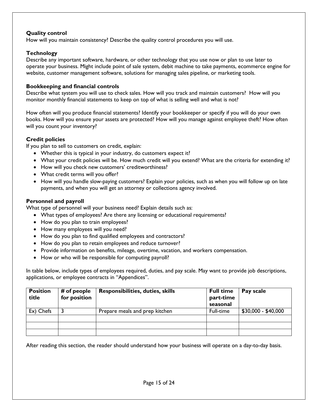#### <span id="page-14-0"></span>**Quality control**

How will you maintain consistency? Describe the quality control procedures you will use.

#### <span id="page-14-1"></span>**Technology**

Describe any important software, hardware, or other technology that you use now or plan to use later to operate your business. Might include point of sale system, debit machine to take payments, ecommerce engine for website, customer management software, solutions for managing sales pipeline, or marketing tools.

#### <span id="page-14-2"></span>**Bookkeeping and financial controls**

Describe what system you will use to check sales. How will you track and maintain customers? How will you monitor monthly financial statements to keep on top of what is selling well and what is not?

How often will you produce financial statements? Identify your bookkeeper or specify if you will do your own books. How will you ensure your assets are protected? How will you manage against employee theft? How often will you count your inventory?

#### <span id="page-14-3"></span>**Credit policies**

If you plan to sell to customers on credit, explain:

- Whether this is typical in your industry, do customers expect it?
- What your credit policies will be. How much credit will you extend? What are the criteria for extending it?
- How will you check new customers' creditworthiness?
- What credit terms will you offer?
- How will you handle slow-paying customers? Explain your policies, such as when you will follow up on late payments, and when you will get an attorney or collections agency involved.

#### <span id="page-14-4"></span>**Personnel and payroll**

What type of personnel will your business need? Explain details such as:

- What types of employees? Are there any licensing or educational requirements?
- How do you plan to train employees?
- How many employees will you need?
- How do you plan to find qualified employees and contractors?
- How do you plan to retain employees and reduce turnover?
- Provide information on benefits, mileage, overtime, vacation, and workers compensation.
- How or who will be responsible for computing payroll?

In table below, include types of employees required, duties, and pay scale. May want to provide job descriptions, applications, or employee contracts in "Appendices".

| <b>Position</b><br>title | # of people<br>for position | <b>Responsibilities, duties, skills</b> | <b>Full time</b><br>part-time<br>seasonal | Pay scale           |
|--------------------------|-----------------------------|-----------------------------------------|-------------------------------------------|---------------------|
| Ex) Chefs                |                             | Prepare meals and prep kitchen          | Full-time                                 | $$30,000 - $40,000$ |
|                          |                             |                                         |                                           |                     |
|                          |                             |                                         |                                           |                     |
|                          |                             |                                         |                                           |                     |

After reading this section, the reader should understand how your business will operate on a day-to-day basis.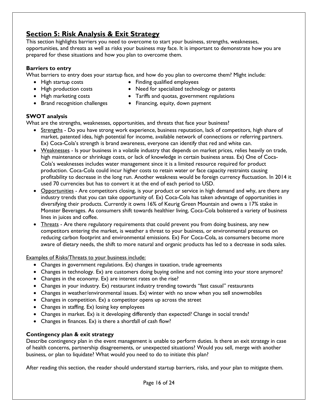## <span id="page-15-0"></span>**Section 5: Risk Analysis & Exit Strategy**

This section highlights barriers you need to overcome to start your business, strengths, weaknesses, opportunities, and threats as well as risks your business may face. It is important to demonstrate how you are prepared for these situations and how you plan to overcome them.

#### <span id="page-15-1"></span>**Barriers to entry**

What barriers to entry does your startup face, and how do you plan to overcome them? Might include:

- 
- High startup costs **•** Finding qualified employees
	-
- 
- 
- High production costs Need for specialized technology or patents
- High marketing costs Tariffs and quotas, government regulations
- 
- Brand recognition challenges Financing, equity, down payment

#### <span id="page-15-2"></span>**SWOT analysis**

What are the strengths, weaknesses, opportunities, and threats that face your business?

- Strengths Do you have strong work experience, business reputation, lack of competitors, high share of market, patented idea, high potential for income, available network of connections or referring partners. Ex) Coca-Cola's strength is brand awareness, everyone can identify that red and white can.
- Weaknesses Is your business in a volatile industry that depends on market prices, relies heavily on trade, high maintenance or shrinkage costs, or lack of knowledge in certain business areas. Ex) One of Coca-Cola's weaknesses includes water management since it is a limited resource required for product production. Coca-Cola could incur higher costs to retain water or face capacity restraints causing profitability to decrease in the long run. Another weakness would be foreign currency fluctuation. In 2014 it used 70 currencies but has to convert it at the end of each period to USD.
- Opportunities Are competitors closing, is your product or service in high demand and why, are there any industry trends that you can take opportunity of. Ex) Coca-Cola has taken advantage of opportunities in diversifying their products. Currently it owns 16% of Keurig Green Mountain and owns a 17% stake in Monster Beverages. As consumers shift towards healthier living, Coca-Cola bolstered a variety of business lines in juices and coffee.
- Threats Are there regulatory requirements that could prevent you from doing business, any new competitors entering the market, is weather a threat to your business, or environmental pressures on reducing carbon footprint and environmental emissions. Ex) For Coca-Cola, as consumers become more aware of dietary needs, the shift to more natural and organic products has led to a decrease in soda sales.

Examples of Risks/Threats to your business include:

- Changes in government regulations. Ex) changes in taxation, trade agreements
- Changes in technology. Ex) are customers doing buying online and not coming into your store anymore?
- Changes in the economy. Ex) are interest rates on the rise?
- Changes in your industry. Ex) restaurant industry trending towards "fast casual" restaurants
- Changes in weather/environmental issues. Ex) winter with no snow when you sell snowmobiles
- Changes in competition. Ex) a competitor opens up across the street
- Changes in staffing. Ex) losing key employees
- Changes in market. Ex) is it developing differently than expected? Change in social trends?
- Changes in finances. Ex) is there a shortfall of cash flow?

#### <span id="page-15-3"></span>**Contingency plan & exit strategy**

Describe contingency plan in the event management is unable to perform duties. Is there an exit strategy in case of health concerns, partnership disagreements, or unexpected situations? Would you sell, merge with another business, or plan to liquidate? What would you need to do to initiate this plan?

After reading this section, the reader should understand startup barriers, risks, and your plan to mitigate them.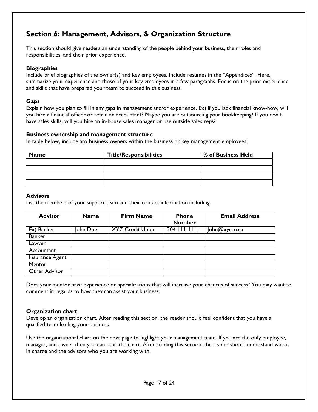## <span id="page-16-0"></span>**Section 6: Management, Advisors, & Organization Structure**

This section should give readers an understanding of the people behind your business, their roles and responsibilities, and their prior experience.

#### <span id="page-16-1"></span>**Biographies**

Include brief biographies of the owner(s) and key employees. Include resumes in the "Appendices". Here, summarize your experience and those of your key employees in a few paragraphs. Focus on the prior experience and skills that have prepared your team to succeed in this business.

#### <span id="page-16-2"></span>**Gaps**

Explain how you plan to fill in any gaps in management and/or experience. Ex) if you lack financial know-how, will you hire a financial officer or retain an accountant? Maybe you are outsourcing your bookkeeping? If you don't have sales skills, will you hire an in-house sales manager or use outside sales reps?

#### <span id="page-16-3"></span>**Business ownership and management structure**

In table below, include any business owners within the business or key management employees:

| <b>Name</b> | <b>Title/Responsibilities</b> | % of Business Held |
|-------------|-------------------------------|--------------------|
|             |                               |                    |
|             |                               |                    |
|             |                               |                    |
|             |                               |                    |

#### <span id="page-16-4"></span>**Advisors**

List the members of your support team and their contact information including:

| <b>Advisor</b>         | <b>Name</b> | <b>Firm Name</b>        | <b>Phone</b><br><b>Number</b> | <b>Email Address</b> |
|------------------------|-------------|-------------------------|-------------------------------|----------------------|
| Ex) Banker             | John Doe    | <b>XYZ Credit Union</b> | $204 - 111 - 1111$            | John@xyccu.ca        |
| <b>Banker</b>          |             |                         |                               |                      |
| Lawyer                 |             |                         |                               |                      |
| Accountant             |             |                         |                               |                      |
| <b>Insurance Agent</b> |             |                         |                               |                      |
| Mentor                 |             |                         |                               |                      |
| Other Advisor          |             |                         |                               |                      |

Does your mentor have experience or specializations that will increase your chances of success? You may want to comment in regards to how they can assist your business.

#### <span id="page-16-5"></span>**Organization chart**

Develop an organization chart. After reading this section, the reader should feel confident that you have a qualified team leading your business.

Use the organizational chart on the next page to highlight your management team. If you are the only employee, manager, and owner then you can omit the chart. After reading this section, the reader should understand who is in charge and the advisors who you are working with.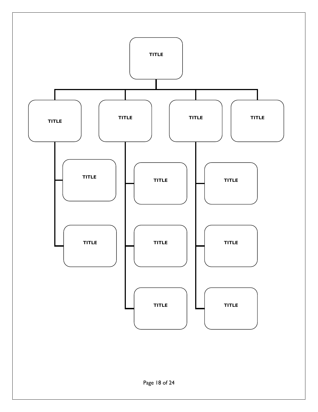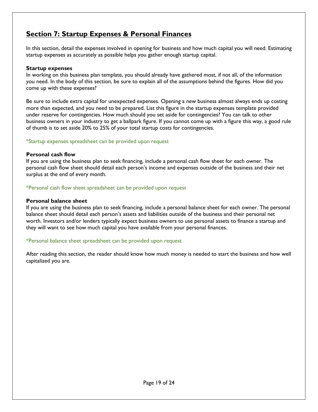## <span id="page-18-0"></span>**Section 7: Startup Expenses & Personal Finances**

In this section, detail the expenses involved in opening for business and how much capital you will need. Estimating startup expenses as accurately as possible helps you gather enough startup capital.

#### <span id="page-18-1"></span>**Startup expenses**

In working on this business plan template, you should already have gathered most, if not all, of the information you need. In the body of this section, be sure to explain all of the assumptions behind the figures. How did you come up with these expenses?

Be sure to include extra capital for unexpected expenses. Opening a new business almost always ends up costing more than expected, and you need to be prepared. List this figure in the startup expenses template provided under reserve for contingencies. How much should you set aside for contingencies? You can talk to other business owners in your industry to get a ballpark figure. If you cannot come up with a figure this way, a good rule of thumb is to set aside 20% to 25% of your total startup costs for contingencies.

#### \*Startup expenses spreadsheet can be provided upon request

#### <span id="page-18-2"></span>**Personal cash flow**

If you are using the business plan to seek financing, include a personal cash flow sheet for each owner. The personal cash flow sheet should detail each person's income and expenses outside of the business and their net surplus at the end of every month.

#### \*Personal cash flow sheet spreadsheet can be provided upon request

#### <span id="page-18-3"></span>**Personal balance sheet**

If you are using the business plan to seek financing, include a personal balance sheet for each owner. The personal balance sheet should detail each person's assets and liabilities outside of the business and their personal net worth. Investors and/or lenders typically expect business owners to use personal assets to finance a startup and they will want to see how much capital you have available from your personal finances.

#### \*Personal balance sheet spreadsheet can be provided upon request

After reading this section, the reader should know how much money is needed to start the business and how well capitalized you are.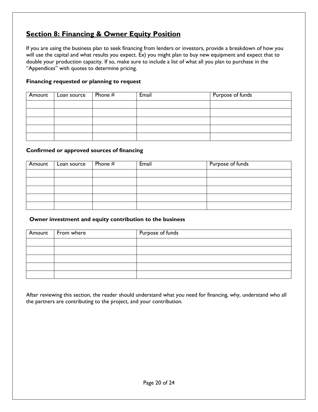## <span id="page-19-0"></span>**Section 8: Financing & Owner Equity Position**

If you are using the business plan to seek financing from lenders or investors, provide a breakdown of how you will use the capital and what results you expect. Ex) you might plan to buy new equipment and expect that to double your production capacity. If so, make sure to include a list of what all you plan to purchase in the "Appendices" with quotes to determine pricing.

#### <span id="page-19-1"></span>**Financing requested or planning to request**

| Amount | Loan source | Phone $#$ | Email | Purpose of funds |
|--------|-------------|-----------|-------|------------------|
|        |             |           |       |                  |
|        |             |           |       |                  |
|        |             |           |       |                  |
|        |             |           |       |                  |
|        |             |           |       |                  |

#### <span id="page-19-2"></span>**Confirmed or approved sources of financing**

| Amount | Loan source | Phone $#$ | Email | Purpose of funds |
|--------|-------------|-----------|-------|------------------|
|        |             |           |       |                  |
|        |             |           |       |                  |
|        |             |           |       |                  |
|        |             |           |       |                  |
|        |             |           |       |                  |

#### <span id="page-19-3"></span> **Owner investment and equity contribution to the business**

| Amount From where | Purpose of funds |
|-------------------|------------------|
|                   |                  |
|                   |                  |
|                   |                  |
|                   |                  |
|                   |                  |

After reviewing this section, the reader should understand what you need for financing, why, understand who all the partners are contributing to the project, and your contribution.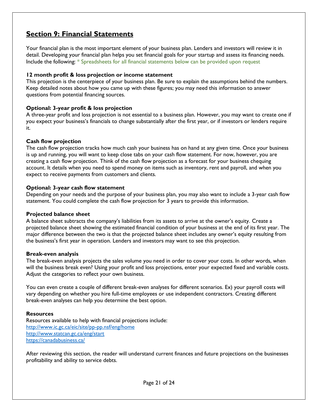## <span id="page-20-0"></span>**Section 9: Financial Statements**

Your financial plan is the most important element of your business plan. Lenders and investors will review it in detail. Developing your financial plan helps you set financial goals for your startup and assess its financing needs. Include the following: \* Spreadsheets for all financial statements below can be provided upon request

#### <span id="page-20-1"></span>**12 month profit & loss projection or income statement**

This projection is the centerpiece of your business plan. Be sure to explain the assumptions behind the numbers. Keep detailed notes about how you came up with these figures; you may need this information to answer questions from potential financing sources.

#### <span id="page-20-2"></span>**Optional: 3-year profit & loss projection**

A three-year profit and loss projection is not essential to a business plan. However, you may want to create one if you expect your business's financials to change substantially after the first year, or if investors or lenders require it.

#### <span id="page-20-3"></span>**Cash flow projection**

The cash flow projection tracks how much cash your business has on hand at any given time. Once your business is up and running, you will want to keep close tabs on your cash flow statement. For now, however, you are creating a cash flow projection. Think of the cash flow projection as a forecast for your business chequing account. It details when you need to spend money on items such as inventory, rent and payroll, and when you expect to receive payments from customers and clients.

#### <span id="page-20-4"></span>**Optional: 3-year cash flow statement**

Depending on your needs and the purpose of your business plan, you may also want to include a 3-year cash flow statement. You could complete the cash flow projection for 3 years to provide this information.

#### <span id="page-20-5"></span>**Projected balance sheet**

A balance sheet subtracts the company's liabilities from its assets to arrive at the owner's equity. Create a projected balance sheet showing the estimated financial condition of your business at the end of its first year. The major difference between the two is that the projected balance sheet includes any owner's equity resulting from the business's first year in operation. Lenders and investors may want to see this projection.

#### <span id="page-20-6"></span>**Break-even analysis**

The break-even analysis projects the sales volume you need in order to cover your costs. In other words, when will the business break even? Using your profit and loss projections, enter your expected fixed and variable costs. Adjust the categories to reflect your own business.

You can even create a couple of different break-even analyses for different scenarios. Ex) your payroll costs will vary depending on whether you hire full-time employees or use independent contractors. Creating different break-even analyses can help you determine the best option.

#### <span id="page-20-7"></span>**Resources**

Resources available to help with financial projections include: <http://www.ic.gc.ca/eic/site/pp-pp.nsf/eng/home> <http://www.statcan.gc.ca/eng/start> <https://canadabusiness.ca/>

After reviewing this section, the reader will understand current finances and future projections on the businesses profitability and ability to service debts.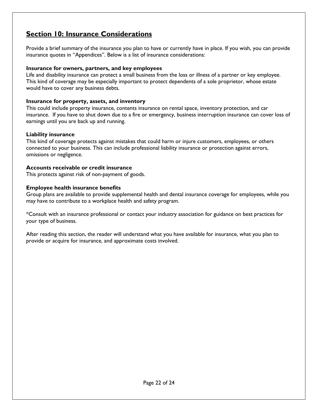## <span id="page-21-0"></span>**Section 10: Insurance Considerations**

Provide a brief summary of the insurance you plan to have or currently have in place. If you wish, you can provide insurance quotes in "Appendices". Below is a list of insurance considerations:

#### <span id="page-21-1"></span>**Insurance for owners, partners, and key employees**

Life and disability insurance can protect a small business from the loss or illness of a partner or key employee. This kind of coverage may be especially important to protect dependents of a sole proprietor, whose estate would have to cover any business debts.

#### <span id="page-21-2"></span>**Insurance for property, assets, and inventory**

This could include property insurance, contents insurance on rental space, inventory protection, and car insurance. If you have to shut down due to a fire or emergency, business interruption insurance can cover loss of earnings until you are back up and running.

#### <span id="page-21-3"></span>**Liability insurance**

This kind of coverage protects against mistakes that could harm or injure customers, employees, or others connected to your business. This can include professional liability insurance or protection against errors, omissions or negligence.

#### <span id="page-21-4"></span>**Accounts receivable or credit insurance**

This protects against risk of non-payment of goods.

#### <span id="page-21-5"></span>**Employee health insurance benefits**

Group plans are available to provide supplemental health and dental insurance coverage for employees, while you may have to contribute to a workplace health and safety program.

\*Consult with an insurance professional or contact your industry association for guidance on best practices for your type of business.

After reading this section, the reader will understand what you have available for insurance, what you plan to provide or acquire for insurance, and approximate costs involved.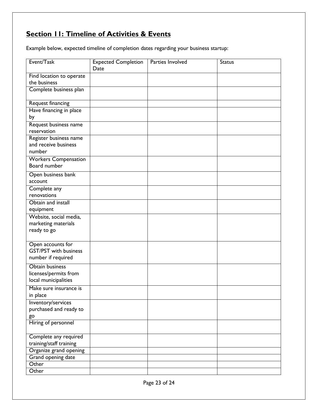## <span id="page-22-0"></span>**Section 11: Timeline of Activities & Events**

Example below, expected timeline of completion dates regarding your business startup:

| Event/Task                               | <b>Expected Completion</b><br>Date | <b>Parties Involved</b> | <b>Status</b> |
|------------------------------------------|------------------------------------|-------------------------|---------------|
|                                          |                                    |                         |               |
| Find location to operate<br>the business |                                    |                         |               |
| Complete business plan                   |                                    |                         |               |
|                                          |                                    |                         |               |
| Request financing                        |                                    |                         |               |
| Have financing in place                  |                                    |                         |               |
| by                                       |                                    |                         |               |
| Request business name                    |                                    |                         |               |
| reservation                              |                                    |                         |               |
| Register business name                   |                                    |                         |               |
| and receive business                     |                                    |                         |               |
| number                                   |                                    |                         |               |
| <b>Workers Compensation</b>              |                                    |                         |               |
| Board number                             |                                    |                         |               |
| Open business bank                       |                                    |                         |               |
| account                                  |                                    |                         |               |
| Complete any                             |                                    |                         |               |
| renovations                              |                                    |                         |               |
| Obtain and install                       |                                    |                         |               |
| equipment<br>Website, social media,      |                                    |                         |               |
| marketing materials                      |                                    |                         |               |
| ready to go                              |                                    |                         |               |
|                                          |                                    |                         |               |
| Open accounts for                        |                                    |                         |               |
| <b>GST/PST</b> with business             |                                    |                         |               |
| number if required                       |                                    |                         |               |
| <b>Obtain business</b>                   |                                    |                         |               |
| licenses/permits from                    |                                    |                         |               |
| local municipalities                     |                                    |                         |               |
| Make sure insurance is                   |                                    |                         |               |
| in place                                 |                                    |                         |               |
| Inventory/services                       |                                    |                         |               |
| purchased and ready to                   |                                    |                         |               |
| go                                       |                                    |                         |               |
| Hiring of personnel                      |                                    |                         |               |
| Complete any required                    |                                    |                         |               |
| training/staff training                  |                                    |                         |               |
| Organize grand opening                   |                                    |                         |               |
| Grand opening date                       |                                    |                         |               |
| Other                                    |                                    |                         |               |
| Other                                    |                                    |                         |               |